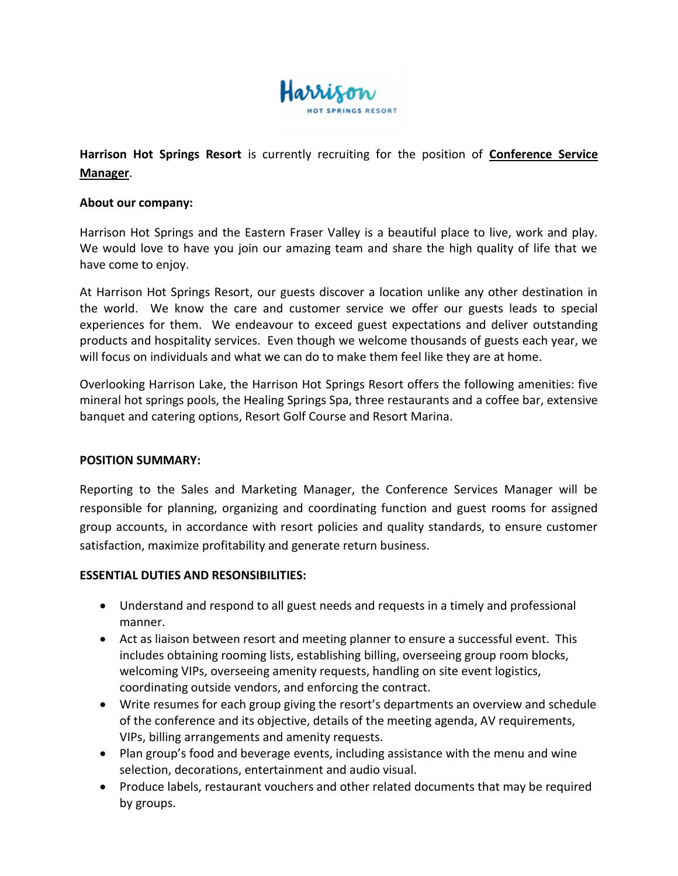

# **Harrison Hot Springs Resort** is currently recruiting for the position of **Conference Service Manager**.

### **About our company:**

Harrison Hot Springs and the Eastern Fraser Valley is a beautiful place to live, work and play. We would love to have you join our amazing team and share the high quality of life that we have come to enjoy.

At Harrison Hot Springs Resort, our guests discover a location unlike any other destination in the world. We know the care and customer service we offer our guests leads to special experiences for them. We endeavour to exceed guest expectations and deliver outstanding products and hospitality services. Even though we welcome thousands of guests each year, we will focus on individuals and what we can do to make them feel like they are at home.

Overlooking Harrison Lake, the Harrison Hot Springs Resort offers the following amenities: five mineral hot springs pools, the Healing Springs Spa, three restaurants and a coffee bar, extensive banquet and catering options, Resort Golf Course and Resort Marina.

### **POSITION SUMMARY:**

Reporting to the Sales and Marketing Manager, the Conference Services Manager will be responsible for planning, organizing and coordinating function and guest rooms for assigned group accounts, in accordance with resort policies and quality standards, to ensure customer satisfaction, maximize profitability and generate return business.

### **ESSENTIAL DUTIES AND RESONSIBILITIES:**

- Understand and respond to all guest needs and requests in a timely and professional manner.
- Act as liaison between resort and meeting planner to ensure a successful event. This includes obtaining rooming lists, establishing billing, overseeing group room blocks, welcoming VIPs, overseeing amenity requests, handling on site event logistics, coordinating outside vendors, and enforcing the contract.
- Write resumes for each group giving the resort's departments an overview and schedule of the conference and its objective, details of the meeting agenda, AV requirements, VIPs, billing arrangements and amenity requests.
- Plan group's food and beverage events, including assistance with the menu and wine selection, decorations, entertainment and audio visual.
- Produce labels, restaurant vouchers and other related documents that may be required by groups.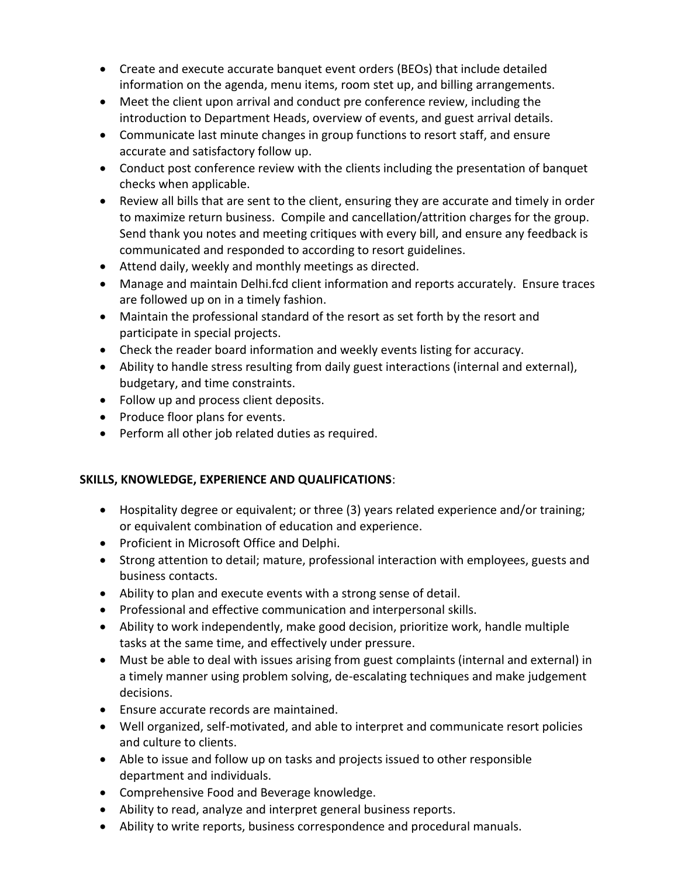- Create and execute accurate banquet event orders (BEOs) that include detailed information on the agenda, menu items, room stet up, and billing arrangements.
- Meet the client upon arrival and conduct pre conference review, including the introduction to Department Heads, overview of events, and guest arrival details.
- Communicate last minute changes in group functions to resort staff, and ensure accurate and satisfactory follow up.
- Conduct post conference review with the clients including the presentation of banquet checks when applicable.
- Review all bills that are sent to the client, ensuring they are accurate and timely in order to maximize return business. Compile and cancellation/attrition charges for the group. Send thank you notes and meeting critiques with every bill, and ensure any feedback is communicated and responded to according to resort guidelines.
- Attend daily, weekly and monthly meetings as directed.
- Manage and maintain Delhi.fcd client information and reports accurately. Ensure traces are followed up on in a timely fashion.
- Maintain the professional standard of the resort as set forth by the resort and participate in special projects.
- Check the reader board information and weekly events listing for accuracy.
- Ability to handle stress resulting from daily guest interactions (internal and external), budgetary, and time constraints.
- Follow up and process client deposits.
- Produce floor plans for events.
- Perform all other job related duties as required.

## **SKILLS, KNOWLEDGE, EXPERIENCE AND QUALIFICATIONS**:

- Hospitality degree or equivalent; or three (3) years related experience and/or training; or equivalent combination of education and experience.
- Proficient in Microsoft Office and Delphi.
- Strong attention to detail; mature, professional interaction with employees, guests and business contacts.
- Ability to plan and execute events with a strong sense of detail.
- Professional and effective communication and interpersonal skills.
- Ability to work independently, make good decision, prioritize work, handle multiple tasks at the same time, and effectively under pressure.
- Must be able to deal with issues arising from guest complaints (internal and external) in a timely manner using problem solving, de-escalating techniques and make judgement decisions.
- Ensure accurate records are maintained.
- Well organized, self-motivated, and able to interpret and communicate resort policies and culture to clients.
- Able to issue and follow up on tasks and projects issued to other responsible department and individuals.
- Comprehensive Food and Beverage knowledge.
- Ability to read, analyze and interpret general business reports.
- Ability to write reports, business correspondence and procedural manuals.